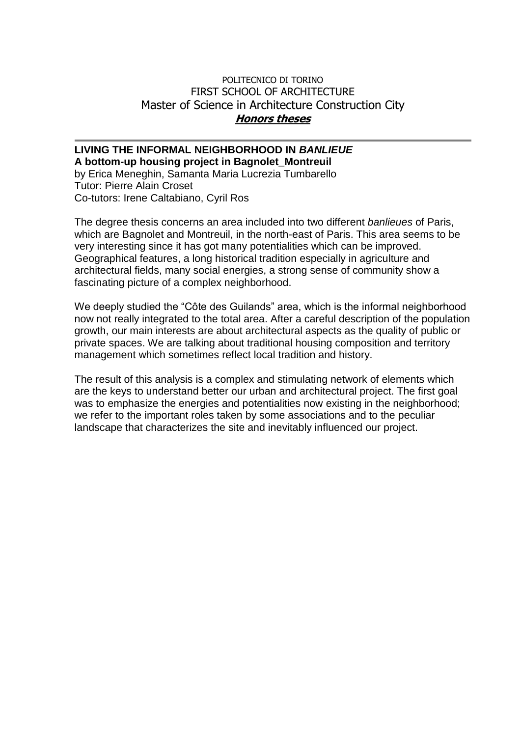## POLITECNICO DI TORINO FIRST SCHOOL OF ARCHITECTURE Master of Science in Architecture Construction City **Honors theses**

## **LIVING THE INFORMAL NEIGHBORHOOD IN** *BANLIEUE*

**A bottom-up housing project in Bagnolet\_Montreuil**

by Erica Meneghin, Samanta Maria Lucrezia Tumbarello Tutor: Pierre Alain Croset Co-tutors: Irene Caltabiano, Cyril Ros

The degree thesis concerns an area included into two different *banlieues* of Paris, which are Bagnolet and Montreuil, in the north-east of Paris. This area seems to be very interesting since it has got many potentialities which can be improved. Geographical features, a long historical tradition especially in agriculture and architectural fields, many social energies, a strong sense of community show a fascinating picture of a complex neighborhood.

We deeply studied the "Côte des Guilands" area, which is the informal neighborhood now not really integrated to the total area. After a careful description of the population growth, our main interests are about architectural aspects as the quality of public or private spaces. We are talking about traditional housing composition and territory management which sometimes reflect local tradition and history.

The result of this analysis is a complex and stimulating network of elements which are the keys to understand better our urban and architectural project. The first goal was to emphasize the energies and potentialities now existing in the neighborhood; we refer to the important roles taken by some associations and to the peculiar landscape that characterizes the site and inevitably influenced our project.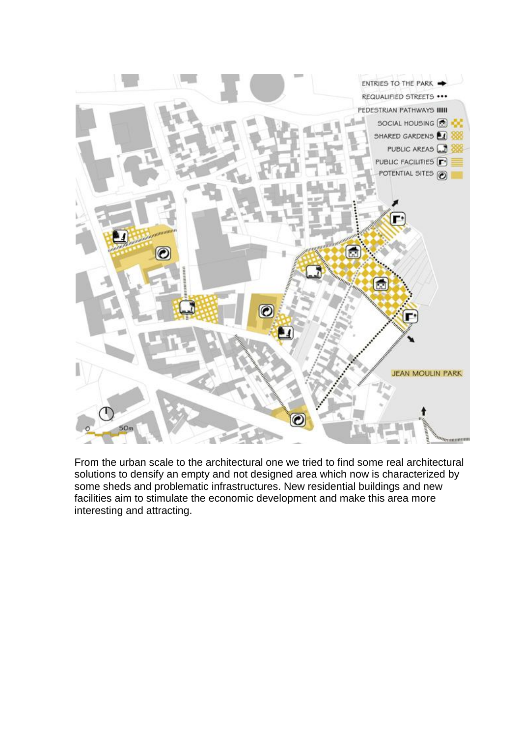

From the urban scale to the architectural one we tried to find some real architectural solutions to densify an empty and not designed area which now is characterized by some sheds and problematic infrastructures. New residential buildings and new facilities aim to stimulate the economic development and make this area more interesting and attracting.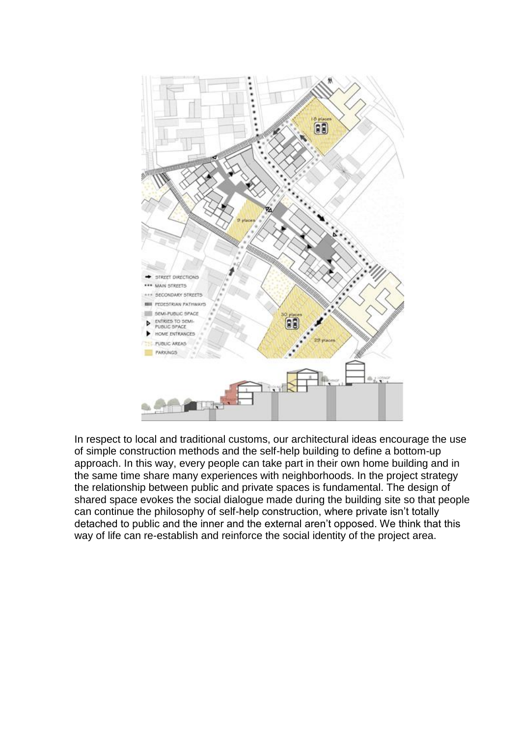

In respect to local and traditional customs, our architectural ideas encourage the use of simple construction methods and the self-help building to define a bottom-up approach. In this way, every people can take part in their own home building and in the same time share many experiences with neighborhoods. In the project strategy the relationship between public and private spaces is fundamental. The design of shared space evokes the social dialogue made during the building site so that people can continue the philosophy of self-help construction, where private isn't totally detached to public and the inner and the external aren't opposed. We think that this way of life can re-establish and reinforce the social identity of the project area.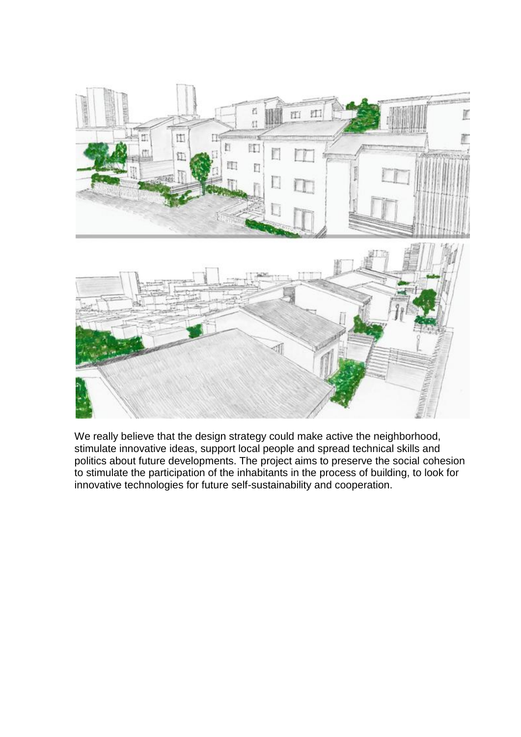

We really believe that the design strategy could make active the neighborhood, stimulate innovative ideas, support local people and spread technical skills and politics about future developments. The project aims to preserve the social cohesion to stimulate the participation of the inhabitants in the process of building, to look for innovative technologies for future self-sustainability and cooperation.